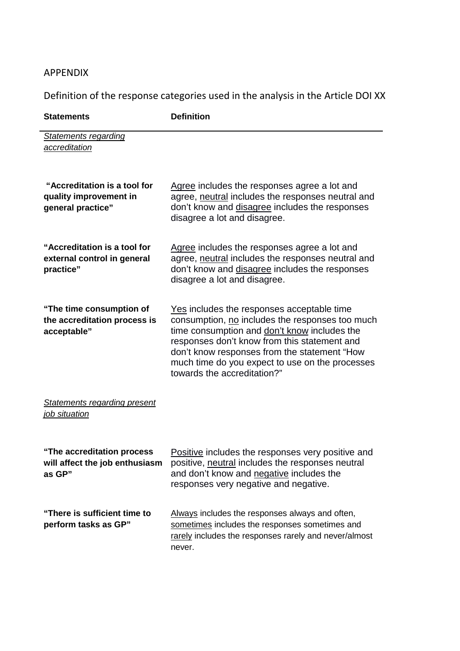## APPENDIX

Definition of the response categories used in the analysis in the Article DOI XX

| <b>Statements</b>                                                           | <b>Definition</b>                                                                                                                                                                                                                                                                                                               |
|-----------------------------------------------------------------------------|---------------------------------------------------------------------------------------------------------------------------------------------------------------------------------------------------------------------------------------------------------------------------------------------------------------------------------|
| <b>Statements regarding</b><br>accreditation                                |                                                                                                                                                                                                                                                                                                                                 |
| "Accreditation is a tool for<br>quality improvement in<br>general practice" | Agree includes the responses agree a lot and<br>agree, neutral includes the responses neutral and<br>don't know and disagree includes the responses<br>disagree a lot and disagree.                                                                                                                                             |
| "Accreditation is a tool for<br>external control in general<br>practice"    | Agree includes the responses agree a lot and<br>agree, neutral includes the responses neutral and<br>don't know and disagree includes the responses<br>disagree a lot and disagree.                                                                                                                                             |
| "The time consumption of<br>the accreditation process is<br>acceptable"     | Yes includes the responses acceptable time<br>consumption, no includes the responses too much<br>time consumption and don't know includes the<br>responses don't know from this statement and<br>don't know responses from the statement "How<br>much time do you expect to use on the processes<br>towards the accreditation?" |
| <b>Statements regarding present</b><br>job situation                        |                                                                                                                                                                                                                                                                                                                                 |
| The accreditation process<br>will affect the job enthusiasm<br>as GP"       | Positive includes the responses very positive and<br>positive, neutral includes the responses neutral<br>and don't know and negative includes the<br>responses very negative and negative.                                                                                                                                      |
| "There is sufficient time to<br>perform tasks as GP"                        | Always includes the responses always and often,<br>sometimes includes the responses sometimes and<br>rarely includes the responses rarely and never/almost<br>never.                                                                                                                                                            |